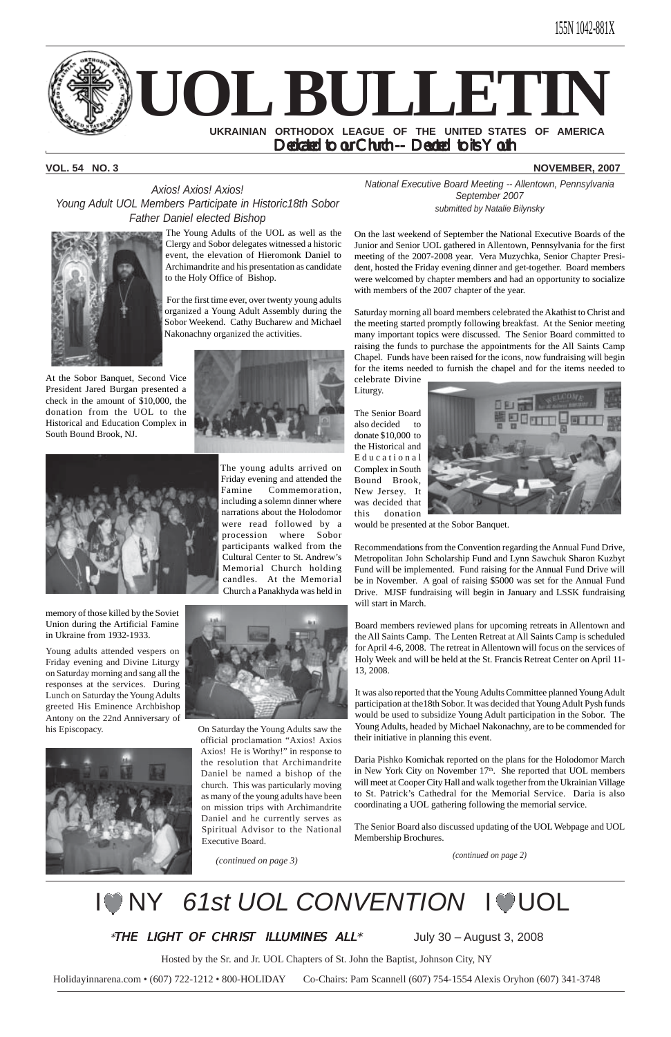

## **VOL. 54 NO. 3 NOVEMBER, 2007**

Hosted by the Sr. and Jr. UOL Chapters of St. John the Baptist, Johnson City, NY

Holidayinnarena.com • (607) 722-1212 • 800-HOLIDAY Co-Chairs: Pam Scannell (607) 754-1554 Alexis Oryhon (607) 341-3748

*National Executive Board Meeting -- Allentown, Pennsylvania September 2007 submitted by Natalie Bilynsky*

On the last weekend of September the National Executive Boards of the Junior and Senior UOL gathered in Allentown, Pennsylvania for the first meeting of the 2007-2008 year. Vera Muzychka, Senior Chapter President, hosted the Friday evening dinner and get-together. Board members were welcomed by chapter members and had an opportunity to socialize with members of the 2007 chapter of the year.

Saturday morning all board members celebrated the Akathist to Christ and the meeting started promptly following breakfast. At the Senior meeting many important topics were discussed. The Senior Board committed to raising the funds to purchase the appointments for the All Saints Camp Chapel. Funds have been raised for the icons, now fundraising will begin for the items needed to furnish the chapel and for the items needed to celebrate Divine

Liturgy.

The Senior Board also decided to donate \$10,000 to the Historical and Educational Complex in South Bound Brook, New Jersey. It was decided that this donation



would be presented at the Sobor Banquet.

Recommendations from the Convention regarding the Annual Fund Drive, Metropolitan John Scholarship Fund and Lynn Sawchuk Sharon Kuzbyt Fund will be implemented. Fund raising for the Annual Fund Drive will be in November. A goal of raising \$5000 was set for the Annual Fund Drive. MJSF fundraising will begin in January and LSSK fundraising will start in March.

Board members reviewed plans for upcoming retreats in Allentown and the All Saints Camp. The Lenten Retreat at All Saints Camp is scheduled for April 4-6, 2008. The retreat in Allentown will focus on the services of Holy Week and will be held at the St. Francis Retreat Center on April 11- 13, 2008.

It was also reported that the Young Adults Committee planned Young Adult participation at the18th Sobor. It was decided that Young Adult Pysh funds would be used to subsidize Young Adult participation in the Sobor. The Young Adults, headed by Michael Nakonachny, are to be commended for their initiative in planning this event.

Daria Pishko Komichak reported on the plans for the Holodomor March in New York City on November 17<sup>th</sup>. She reported that UOL members will meet at Cooper City Hall and walk together from the Ukrainian Village to St. Patrick's Cathedral for the Memorial Service. Daria is also coordinating a UOL gathering following the memorial service.

The Senior Board also discussed updating of the UOL Webpage and UOL Membership Brochures.

*Axios! Axios! Axios! Young Adult UOL Members Participate in Historic18th Sobor Father Daniel elected Bishop*



*(continued on page 2)*

# **IONY 61st UOL CONVENTION IOUOL**

\*THE LIGHT OF CHRIST ILLUMINES  $ALL^*$  July 30 – August 3, 2008

The Young Adults of the UOL as well as the Clergy and Sobor delegates witnessed a historic event, the elevation of Hieromonk Daniel to Archimandrite and his presentation as candidate to the Holy Office of Bishop.

 For the first time ever, over twenty young adults organized a Young Adult Assembly during the Sobor Weekend. Cathy Bucharew and Michael Nakonachny organized the activities.





At the Sobor Banquet, Second Vice President Jared Burgan presented a check in the amount of \$10,000, the donation from the UOL to the Historical and Education Complex in South Bound Brook, NJ.

> The young adults arrived on Friday evening and attended the Famine Commemoration, including a solemn dinner where narrations about the Holodomor were read followed by a procession where Sobor participants walked from the Cultural Center to St. Andrew's Memorial Church holding candles. At the Memorial Church a Panakhyda was held in



memory of those killed by the Soviet Union during the Artificial Famine in Ukraine from 1932-1933.

Young adults attended vespers on Friday evening and Divine Liturgy on Saturday morning and sang all the responses at the services. During Lunch on Saturday the Young Adults greeted His Eminence Archbishop Antony on the 22nd Anniversary of



his Episcopacy. On Saturday the Young Adults saw the official proclamation "Axios! Axios Axios! He is Worthy!" in response to the resolution that Archimandrite Daniel be named a bishop of the church. This was particularly moving as many of the young adults have been on mission trips with Archimandrite Daniel and he currently serves as Spiritual Advisor to the National Executive Board.

 *(continued on page 3)*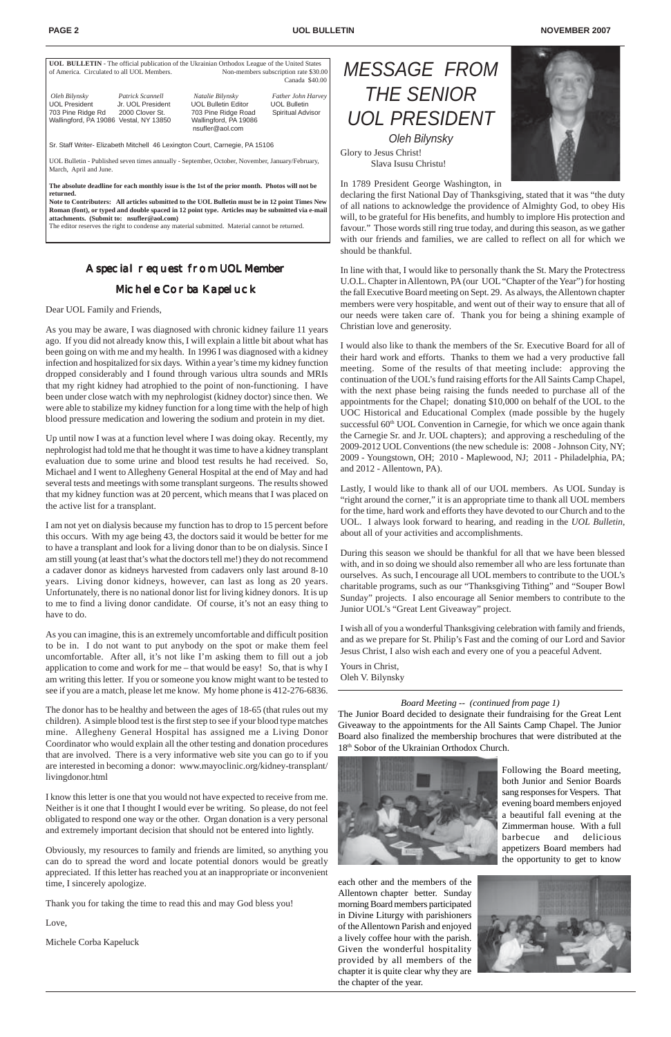#### **PAGE 2** NOVEMBER 2007

| <b>UOL BULLETIN</b> - The official publication of the Ukrainian Orthodox League of the United States                      |                                                          |                                                                                                                   |                                                                |  |  |
|---------------------------------------------------------------------------------------------------------------------------|----------------------------------------------------------|-------------------------------------------------------------------------------------------------------------------|----------------------------------------------------------------|--|--|
| of America. Circulated to all UOL Members.                                                                                |                                                          | Non-members subscription rate \$30.00                                                                             |                                                                |  |  |
|                                                                                                                           |                                                          |                                                                                                                   | Canada \$40.00                                                 |  |  |
| Oleh Bilynsky<br><b>UOL President</b><br>703 Pine Ridge Rd<br>Wallingford, PA 19086 Vestal, NY 13850                      | Patrick Scannell<br>Jr. UOL President<br>2000 Clover St. | Natalie Bilynsky<br><b>UOL Bulletin Editor</b><br>703 Pine Ridge Road<br>Wallingford, PA 19086<br>nsufler@aol.com | Father John Harvey<br><b>UOL Bulletin</b><br>Spiritual Advisor |  |  |
| Sr. Staff Writer- Elizabeth Mitchell 46 Lexington Court, Carnegie, PA 15106                                               |                                                          |                                                                                                                   |                                                                |  |  |
| UOL Bulletin - Published seven times annually - September, October, November, January/February,<br>March, April and June. |                                                          |                                                                                                                   |                                                                |  |  |

**The absolute deadline for each monthly issue is the 1st of the prior month. Photos will not be returned.**

**Note to Contributers: All articles submitted to the UOL Bulletin must be in 12 point Times New Roman (font), or typed and double spaced in 12 point type. Articles may be submitted via e-mail attachments. (Submit to: nsufler@aol.com)**

The editor reserves the right to condense any material submitted. Material cannot be returned.

*MESSAGE FROM THE SENIOR UOL PRESIDENT Oleh Bilynsky* Glory to Jesus Christ!

Slava Isusu Christu!

In 1789 President George Washington, in



declaring the first National Day of Thanksgiving, stated that it was "the duty of all nations to acknowledge the providence of Almighty God, to obey His will, to be grateful for His benefits, and humbly to implore His protection and favour." Those words still ring true today, and during this season, as we gather with our friends and families, we are called to reflect on all for which we should be thankful.

In line with that, I would like to personally thank the St. Mary the Protectress U.O.L. Chapter in Allentown, PA (our UOL "Chapter of the Year") for hosting the fall Executive Board meeting on Sept. 29. As always, the Allentown chapter members were very hospitable, and went out of their way to ensure that all of our needs were taken care of. Thank you for being a shining example of Christian love and generosity.

I would also like to thank the members of the Sr. Executive Board for all of their hard work and efforts. Thanks to them we had a very productive fall meeting. Some of the results of that meeting include: approving the continuation of the UOL's fund raising efforts for the All Saints Camp Chapel, with the next phase being raising the funds needed to purchase all of the appointments for the Chapel; donating \$10,000 on behalf of the UOL to the UOC Historical and Educational Complex (made possible by the hugely successful 60<sup>th</sup> UOL Convention in Carnegie, for which we once again thank the Carnegie Sr. and Jr. UOL chapters); and approving a rescheduling of the 2009-2012 UOL Conventions (the new schedule is: 2008 - Johnson City, NY; 2009 - Youngstown, OH; 2010 - Maplewood, NJ; 2011 - Philadelphia, PA; and 2012 - Allentown, PA).

Lastly, I would like to thank all of our UOL members. As UOL Sunday is "right around the corner," it is an appropriate time to thank all UOL members for the time, hard work and efforts they have devoted to our Church and to the UOL. I always look forward to hearing, and reading in the *UOL Bulletin*, about all of your activities and accomplishments.

During this season we should be thankful for all that we have been blessed with, and in so doing we should also remember all who are less fortunate than ourselves. As such, I encourage all UOL members to contribute to the UOL's charitable programs, such as our "Thanksgiving Tithing" and "Souper Bowl Sunday" projects. I also encourage all Senior members to contribute to the Junior UOL's "Great Lent Giveaway" project.

I wish all of you a wonderful Thanksgiving celebration with family and friends, and as we prepare for St. Philip's Fast and the coming of our Lord and Savior Jesus Christ, I also wish each and every one of you a peaceful Advent.

Yours in Christ, Oleh V. Bilynsky

## A special request from UOL Member

## Michele Corba Kapeluck

### Dear UOL Family and Friends,

As you may be aware, I was diagnosed with chronic kidney failure 11 years ago. If you did not already know this, I will explain a little bit about what has been going on with me and my health. In 1996 I was diagnosed with a kidney infection and hospitalized for six days. Within a year's time my kidney function dropped considerably and I found through various ultra sounds and MRIs that my right kidney had atrophied to the point of non-functioning. I have been under close watch with my nephrologist (kidney doctor) since then. We were able to stabilize my kidney function for a long time with the help of high blood pressure medication and lowering the sodium and protein in my diet.

Up until now I was at a function level where I was doing okay. Recently, my nephrologist had told me that he thought it was time to have a kidney transplant evaluation due to some urine and blood test results he had received. So, Michael and I went to Allegheny General Hospital at the end of May and had several tests and meetings with some transplant surgeons. The results showed that my kidney function was at 20 percent, which means that I was placed on the active list for a transplant.

I am not yet on dialysis because my function has to drop to 15 percent before this occurs. With my age being 43, the doctors said it would be better for me to have a transplant and look for a living donor than to be on dialysis. Since I am still young (at least that's what the doctors tell me!) they do not recommend a cadaver donor as kidneys harvested from cadavers only last around 8-10 years. Living donor kidneys, however, can last as long as 20 years. Unfortunately, there is no national donor list for living kidney donors. It is up to me to find a living donor candidate. Of course, it's not an easy thing to have to do.

As you can imagine, this is an extremely uncomfortable and difficult position to be in. I do not want to put anybody on the spot or make them feel uncomfortable. After all, it's not like I'm asking them to fill out a job application to come and work for me – that would be easy! So, that is why I am writing this letter. If you or someone you know might want to be tested to see if you are a match, please let me know. My home phone is 412-276-6836.

The donor has to be healthy and between the ages of 18-65 (that rules out my children). A simple blood test is the first step to see if your blood type matches mine. Allegheny General Hospital has assigned me a Living Donor Coordinator who would explain all the other testing and donation procedures that are involved. There is a very informative web site you can go to if you

are interested in becoming a donor: www.mayoclinic.org/kidney-transplant/ livingdonor.html

I know this letter is one that you would not have expected to receive from me. Neither is it one that I thought I would ever be writing. So please, do not feel obligated to respond one way or the other. Organ donation is a very personal and extremely important decision that should not be entered into lightly.

Obviously, my resources to family and friends are limited, so anything you can do to spread the word and locate potential donors would be greatly appreciated. If this letter has reached you at an inappropriate or inconvenient time, I sincerely apologize.

Thank you for taking the time to read this and may God bless you!

Love,

Michele Corba Kapeluck



## *Board Meeting -- (continued from page 1)*

The Junior Board decided to designate their fundraising for the Great Lent Giveaway to the appointments for the All Saints Camp Chapel. The Junior Board also finalized the membership brochures that were distributed at the 18th Sobor of the Ukrainian Orthodox Church.

Following the Board meeting, both Junior and Senior Boards sang responses for Vespers. That evening board members enjoyed a beautiful fall evening at the Zimmerman house. With a full barbecue and delicious appetizers Board members had the opportunity to get to know

each other and the members of the Allentown chapter better. Sunday morning Board members participated in Divine Liturgy with parishioners of the Allentown Parish and enjoyed a lively coffee hour with the parish. Given the wonderful hospitality provided by all members of the chapter it is quite clear why they are the chapter of the year.

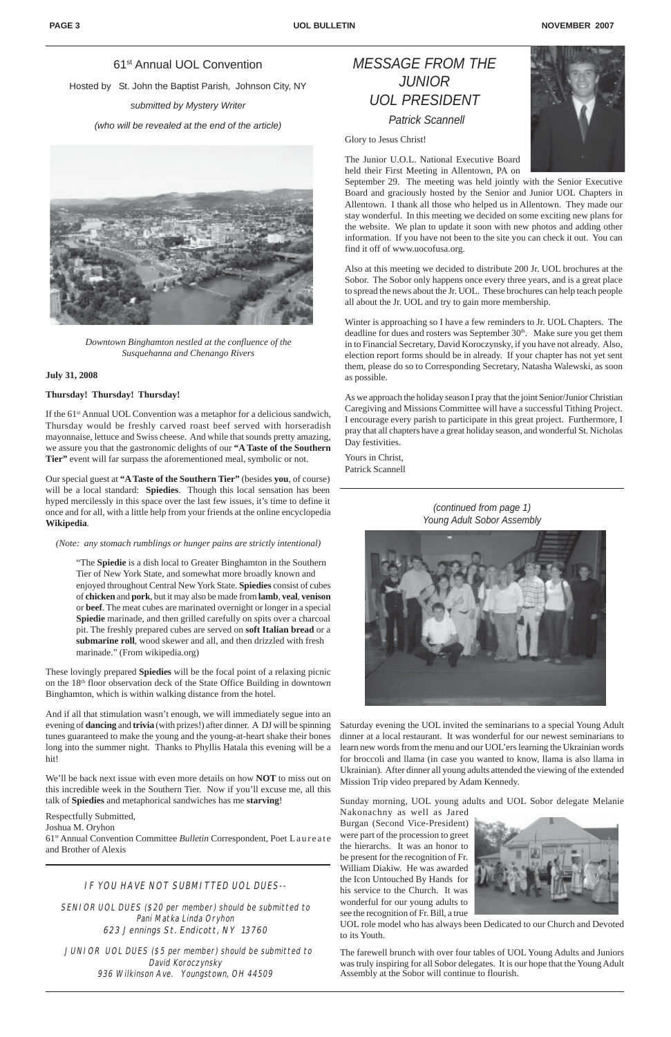## *MESSAGE FROM THE JUNIOR UOL PRESIDENT Patrick Scannell*

Glory to Jesus Christ!

The Junior U.O.L. National Executive Board held their First Meeting in Allentown, PA on



September 29. The meeting was held jointly with the Senior Executive Board and graciously hosted by the Senior and Junior UOL Chapters in Allentown. I thank all those who helped us in Allentown. They made our stay wonderful. In this meeting we decided on some exciting new plans for the website. We plan to update it soon with new photos and adding other information. If you have not been to the site you can check it out. You can find it off of www.uocofusa.org.

Also at this meeting we decided to distribute 200 Jr. UOL brochures at the Sobor. The Sobor only happens once every three years, and is a great place to spread the news about the Jr. UOL. These brochures can help teach people all about the Jr. UOL and try to gain more membership.

Winter is approaching so I have a few reminders to Jr. UOL Chapters. The deadline for dues and rosters was September 30<sup>th</sup>. Make sure you get them in to Financial Secretary, David Koroczynsky, if you have not already. Also, election report forms should be in already. If your chapter has not yet sent them, please do so to Corresponding Secretary, Natasha Walewski, as soon as possible.

If the 61<sup>st</sup> Annual UOL Convention was a metaphor for a delicious sandwich, Thursday would be freshly carved roast beef served with horseradish mayonnaise, lettuce and Swiss cheese. And while that sounds pretty amazing, we assure you that the gastronomic delights of our **"A Taste of the Southern Tier"** event will far surpass the aforementioned meal, symbolic or not.

As we approach the holiday season I pray that the joint Senior/Junior Christian Caregiving and Missions Committee will have a successful Tithing Project. I encourage every parish to participate in this great project. Furthermore, I pray that all chapters have a great holiday season, and wonderful St. Nicholas Day festivities.

Yours in Christ, Patrick Scannell

## 61st Annual UOL Convention

Hosted by St. John the Baptist Parish, Johnson City, NY

*submitted by Mystery Writer*

*(who will be revealed at the end of the article)*



*Downtown Binghamton nestled at the confluence of the Susquehanna and Chenango Rivers*

### **July 31, 2008**

## **Thursday! Thursday! Thursday!**

JUNIOR UOL DUES (\$5 per member) should be submitted to David Koroczynsky 936 Wilkinson Ave. Youngstown, OH 44509

Our special guest at **"A Taste of the Southern Tier"** (besides **you**, of course) will be a local standard: **Spiedies**. Though this local sensation has been hyped mercilessly in this space over the last few issues, it's time to define it once and for all, with a little help from your friends at the online encyclopedia **Wikipedia**.

#### *(Note: any stomach rumblings or hunger pains are strictly intentional)*

"The **Spiedie** is a dish local to Greater Binghamton in the Southern Tier of New York State, and somewhat more broadly known and enjoyed throughout Central New York State. **Spiedies** consist of cubes of **chicken** and **pork**, but it may also be made from **lamb**, **veal**, **venison** or **beef**. The meat cubes are marinated overnight or longer in a special **Spiedie** marinade, and then grilled carefully on spits over a charcoal pit. The freshly prepared cubes are served on **soft Italian bread** or a **submarine roll**, wood skewer and all, and then drizzled with fresh marinade." (From wikipedia.org)

These lovingly prepared **Spiedies** will be the focal point of a relaxing picnic on the 18th floor observation deck of the State Office Building in downtown Binghamton, which is within walking distance from the hotel.

And if all that stimulation wasn't enough, we will immediately segue into an evening of **dancing** and **trivia** (with prizes!) after dinner. A DJ will be spinning tunes guaranteed to make the young and the young-at-heart shake their bones long into the summer night. Thanks to Phyllis Hatala this evening will be a hit!

We'll be back next issue with even more details on how **NOT** to miss out on this incredible week in the Southern Tier. Now if you'll excuse me, all this talk of **Spiedies** and metaphorical sandwiches has me **starving**!

Respectfully Submitted,

Joshua M. Oryhon

61st Annual Convention Committee *Bulletin* Correspondent, Poet Laureate and Brother of Alexis

## IF YOU HAVE NOT SUBMITTED UOL DUES--

SENIOR UOL DUES (\$20 per member) should be submitted to Pani Matka Linda Oryhon 623 Jennings St. Endicott, NY 13760

Sunday morning, UOL young adults and UOL Sobor delegate Melanie Nakonachny as well as Jared

Burgan (Second Vice-President) were part of the procession to greet the hierarchs. It was an honor to be present for the recognition of Fr. William Diakiw. He was awarded the Icon Untouched By Hands for his service to the Church. It was wonderful for our young adults to see the recognition of Fr. Bill, a true



for broccoli and llama (in case you wanted to know, llama is also llama in Ukrainian). After dinner all young adults attended the viewing of the extended Mission Trip video prepared by Adam Kennedy. Saturday evening the UOL invited the seminarians to a special Young Adult dinner at a local restaurant. It was wonderful for our newest seminarians to learn new words from the menu and our UOL'ers learning the Ukrainian words

UOL role model who has always been Dedicated to our Church and Devoted to its Youth.

The farewell brunch with over four tables of UOL Young Adults and Juniors was truly inspiring for all Sobor delegates. It is our hope that the Young Adult Assembly at the Sobor will continue to flourish.

*(continued from page 1) Young Adult Sobor Assembly*

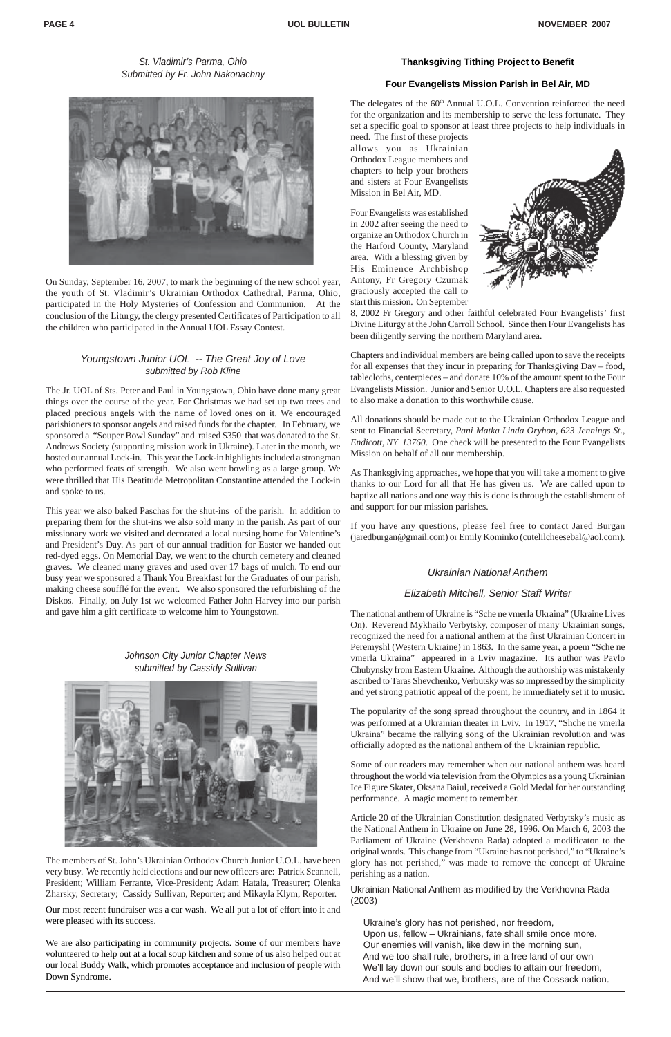## *Youngstown Junior UOL -- The Great Joy of Love submitted by Rob Kline*

The Jr. UOL of Sts. Peter and Paul in Youngstown, Ohio have done many great things over the course of the year. For Christmas we had set up two trees and placed precious angels with the name of loved ones on it. We encouraged parishioners to sponsor angels and raised funds for the chapter. In February, we sponsored a "Souper Bowl Sunday" and raised \$350 that was donated to the St. Andrews Society (supporting mission work in Ukraine). Later in the month, we hosted our annual Lock-in. This year the Lock-in highlights included a strongman who performed feats of strength. We also went bowling as a large group. We were thrilled that His Beatitude Metropolitan Constantine attended the Lock-in and spoke to us.

This year we also baked Paschas for the shut-ins of the parish. In addition to preparing them for the shut-ins we also sold many in the parish. As part of our missionary work we visited and decorated a local nursing home for Valentine's and President's Day. As part of our annual tradition for Easter we handed out red-dyed eggs. On Memorial Day, we went to the church cemetery and cleaned graves. We cleaned many graves and used over 17 bags of mulch. To end our busy year we sponsored a Thank You Breakfast for the Graduates of our parish, making cheese soufflé for the event. We also sponsored the refurbishing of the Diskos. Finally, on July 1st we welcomed Father John Harvey into our parish and gave him a gift certificate to welcome him to Youngstown.

The delegates of the 60<sup>th</sup> Annual U.O.L. Convention reinforced the need for the organization and its membership to serve the less fortunate. They set a specific goal to sponsor at least three projects to help individuals in

The members of St. John's Ukrainian Orthodox Church Junior U.O.L. have been very busy. We recently held elections and our new officers are: Patrick Scannell, President; William Ferrante, Vice-President; Adam Hatala, Treasurer; Olenka Zharsky, Secretary; Cassidy Sullivan, Reporter; and Mikayla Klym, Reporter.

Our most recent fundraiser was a car wash. We all put a lot of effort into it and were pleased with its success.

We are also participating in community projects. Some of our members have volunteered to help out at a local soup kitchen and some of us also helped out at our local Buddy Walk, which promotes acceptance and inclusion of people with Down Syndrome.

On Sunday, September 16, 2007, to mark the beginning of the new school year, the youth of St. Vladimir's Ukrainian Orthodox Cathedral, Parma, Ohio, participated in the Holy Mysteries of Confession and Communion. At the conclusion of the Liturgy, the clergy presented Certificates of Participation to all the children who participated in the Annual UOL Essay Contest.

## **Thanksgiving Tithing Project to Benefit**

## **Four Evangelists Mission Parish in Bel Air, MD**

need. The first of these projects allows you as Ukrainian Orthodox League members and chapters to help your brothers and sisters at Four Evangelists Mission in Bel Air, MD.

Four Evangelists was established in 2002 after seeing the need to organize an Orthodox Church in the Harford County, Maryland area. With a blessing given by His Eminence Archbishop Antony, Fr Gregory Czumak graciously accepted the call to start this mission. On September



8, 2002 Fr Gregory and other faithful celebrated Four Evangelists' first Divine Liturgy at the John Carroll School. Since then Four Evangelists has been diligently serving the northern Maryland area.

Chapters and individual members are being called upon to save the receipts for all expenses that they incur in preparing for Thanksgiving Day – food, tablecloths, centerpieces – and donate 10% of the amount spent to the Four Evangelists Mission. Junior and Senior U.O.L. Chapters are also requested to also make a donation to this worthwhile cause.

All donations should be made out to the Ukrainian Orthodox League and sent to Financial Secretary, *Pani Matka Linda Oryhon, 623 Jennings St*., *Endicott, NY 13760*. One check will be presented to the Four Evangelists Mission on behalf of all our membership.

As Thanksgiving approaches, we hope that you will take a moment to give thanks to our Lord for all that He has given us. We are called upon to baptize all nations and one way this is done is through the establishment of and support for our mission parishes.

If you have any questions, please feel free to contact Jared Burgan (jaredburgan@gmail.com) or Emily Kominko (cutelilcheesebal@aol.com).

*Johnson City Junior Chapter News submitted by Cassidy Sullivan*



## *St. Vladimir's Parma, Ohio Submitted by Fr. John Nakonachny*



## *Ukrainian National Anthem*

## *Elizabeth Mitchell, Senior Staff Writer*

The national anthem of Ukraine is "Sche ne vmerla Ukraina" (Ukraine Lives On). Reverend Mykhailo Verbytsky, composer of many Ukrainian songs, recognized the need for a national anthem at the first Ukrainian Concert in Peremyshl (Western Ukraine) in 1863. In the same year, a poem "Sche ne vmerla Ukraina" appeared in a Lviv magazine. Its author was Pavlo Chubynsky from Eastern Ukraine. Although the authorship was mistakenly ascribed to Taras Shevchenko, Verbutsky was so impressed by the simplicity and yet strong patriotic appeal of the poem, he immediately set it to music.

The popularity of the song spread throughout the country, and in 1864 it was performed at a Ukrainian theater in Lviv. In 1917, "Shche ne vmerla Ukraina" became the rallying song of the Ukrainian revolution and was officially adopted as the national anthem of the Ukrainian republic.

Some of our readers may remember when our national anthem was heard throughout the world via television from the Olympics as a young Ukrainian Ice Figure Skater, Oksana Baiul, received a Gold Medal for her outstanding performance. A magic moment to remember.

Article 20 of the Ukrainian Constitution designated Verbytsky's music as the National Anthem in Ukraine on June 28, 1996. On March 6, 2003 the Parliament of Ukraine (Verkhovna Rada) adopted a modificaton to the original words. This change from "Ukraine has not perished," to "Ukraine's glory has not perished," was made to remove the concept of Ukraine perishing as a nation.

Ukrainian National Anthem as modified by the Verkhovna Rada (2003)

 Ukraine's glory has not perished, nor freedom, Upon us, fellow – Ukrainians, fate shall smile once more. Our enemies will vanish, like dew in the morning sun, And we too shall rule, brothers, in a free land of our own We'll lay down our souls and bodies to attain our freedom, And we'll show that we, brothers, are of the Cossack nation.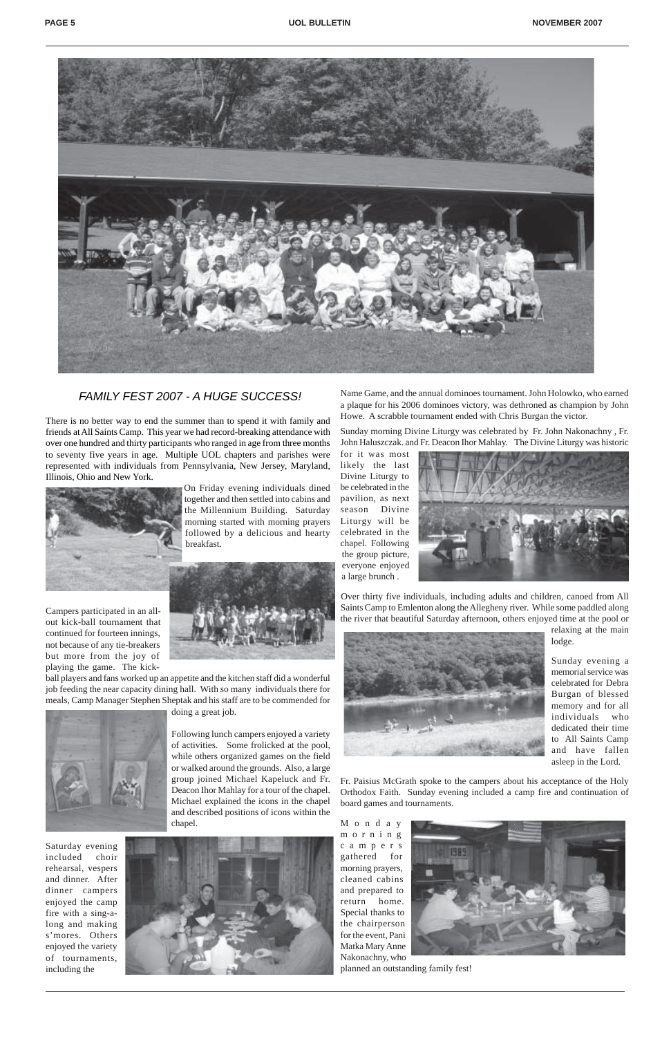

## FAMILY FEST 2007 *FAMILY FEST 2007 - A HUGE SUCCESS!*

There is no better way to end the summer than to spend it with family and friends at All Saints Camp. This year we had record-breaking attendance with over one hundred and thirty participants who ranged in age from three months to seventy five years in age. Multiple UOL chapters and parishes were represented with individuals from Pennsylvania, New Jersey, Maryland, Illinois, Ohio and New York.



On Friday evening individuals dined together and then settled into cabins and the Millennium Building. Saturday morning started with morning prayers followed by a delicious and hearty breakfast.



Campers participated in an allout kick-ball tournament that continued for fourteen innings, not because of any tie-breakers but more from the joy of playing the game. The kick-

ball players and fans worked up an appetite and the kitchen staff did a wonderful job feeding the near capacity dining hall. With so many individuals there for meals, Camp Manager Stephen Sheptak and his staff are to be commended for



doing a great job.

Following lunch campers enjoyed a variety of activities. Some frolicked at the pool, while others organized games on the field

or walked around the grounds. Also, a large group joined Michael Kapeluck and Fr. Deacon Ihor Mahlay for a tour of the chapel. Michael explained the icons in the chapel and described positions of icons within the chapel.

M o n d a y morning campers gathered for morning prayers, cleaned cabins and prepared to return home. Special thanks to the chairperson



Saturday evening included choir rehearsal, vespers and dinner. After dinner campers enjoyed the camp fire with a sing-along and making s'mores. Others enjoyed the variety of tournaments, including the



Name Game, and the annual dominoes tournament. John Holowko, who earned a plaque for his 2006 dominoes victory, was dethroned as champion by John Howe. A scrabble tournament ended with Chris Burgan the victor.

Sunday morning Divine Liturgy was celebrated by Fr. John Nakonachny , Fr. John Haluszczak. and Fr. Deacon Ihor Mahlay. The Divine Liturgy was historic

for it was most likely the last Divine Liturgy to be celebrated in the pavilion, as next season Divine Liturgy will be celebrated in the chapel. Following the group picture, everyone enjoyed a large brunch .



Over thirty five individuals, including adults and children, canoed from All Saints Camp to Emlenton along the Allegheny river. While some paddled along the river that beautiful Saturday afternoon, others enjoyed time at the pool or



relaxing at the main lodge.

Sunday evening a memorial service was celebrated for Debra Burgan of blessed memory and for all individuals who dedicated their time to All Saints Camp and have fallen asleep in the Lord.

Fr. Paisius McGrath spoke to the campers about his acceptance of the Holy Orthodox Faith. Sunday evening included a camp fire and continuation of board games and tournaments.

for the event, Pani Matka Mary Anne Nakonachny, who

planned an outstanding family fest!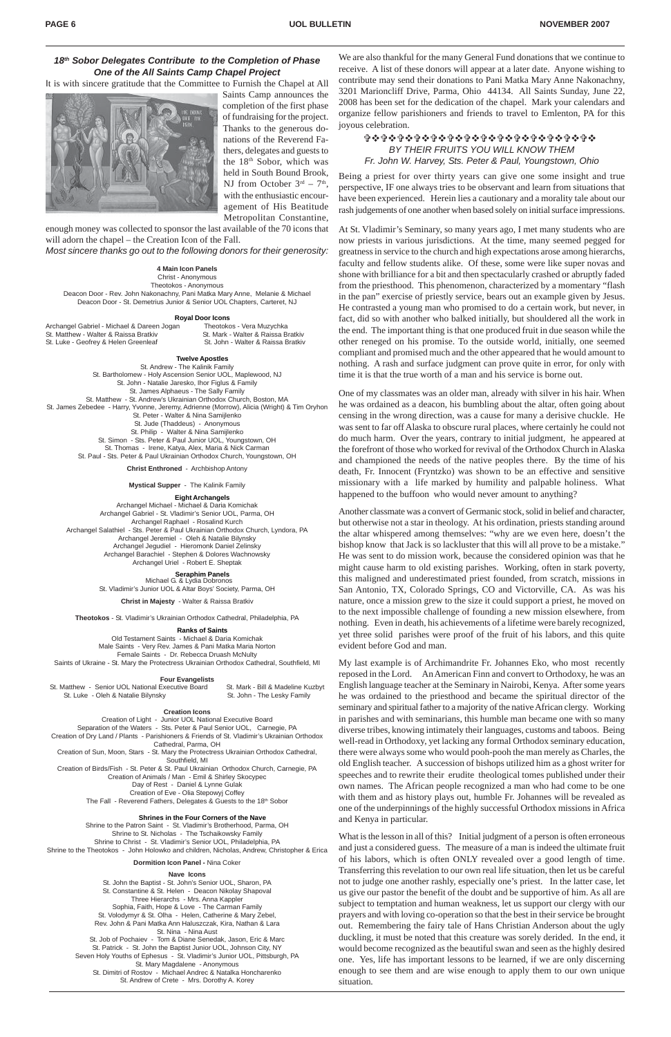## *BY THEIR FRUITS YOU WILL KNOW THEM Fr. John W. Harvey, Sts. Peter & Paul, Youngstown, Ohio* **☆☆☆☆☆☆☆☆☆☆☆☆☆☆☆☆☆☆☆☆☆☆☆☆☆☆☆☆☆☆**

Being a priest for over thirty years can give one some insight and true perspective, IF one always tries to be observant and learn from situations that have been experienced. Herein lies a cautionary and a morality tale about our rash judgements of one another when based solely on initial surface impressions.

At St. Vladimir's Seminary, so many years ago, I met many students who are now priests in various jurisdictions. At the time, many seemed pegged for greatness in service to the church and high expectations arose among hierarchs, faculty and fellow students alike. Of these, some were like super novas and shone with brilliance for a bit and then spectacularly crashed or abruptly faded from the priesthood. This phenomenon, characterized by a momentary "flash in the pan" exercise of priestly service, bears out an example given by Jesus. He contrasted a young man who promised to do a certain work, but never, in fact, did so with another who balked initially, but shouldered all the work in the end. The important thing is that one produced fruit in due season while the other reneged on his promise. To the outside world, initially, one seemed compliant and promised much and the other appeared that he would amount to nothing. A rash and surface judgment can prove quite in error, for only with time it is that the true worth of a man and his service is borne out.

One of my classmates was an older man, already with silver in his hair. When he was ordained as a deacon, his bumbling about the altar, often going about censing in the wrong direction, was a cause for many a derisive chuckle. He was sent to far off Alaska to obscure rural places, where certainly he could not do much harm. Over the years, contrary to initial judgment, he appeared at the forefront of those who worked for revival of the Orthodox Church in Alaska and championed the needs of the native peoples there. By the time of his death, Fr. Innocent (Fryntzko) was shown to be an effective and sensitive missionary with a life marked by humility and palpable holiness. What happened to the buffoon who would never amount to anything?

What is the lesson in all of this? Initial judgment of a person is often erroneous and just a considered guess. The measure of a man is indeed the ultimate fruit of his labors, which is often ONLY revealed over a good length of time. Transferring this revelation to our own real life situation, then let us be careful not to judge one another rashly, especially one's priest. In the latter case, let us give our pastor the benefit of the doubt and be supportive of him. As all are subject to temptation and human weakness, let us support our clergy with our prayers and with loving co-operation so that the best in their service be brought out. Remembering the fairy tale of Hans Christian Anderson about the ugly duckling, it must be noted that this creature was sorely derided. In the end, it would become recognized as the beautiful swan and seen as the highly desired one. Yes, life has important lessons to be learned, if we are only discerning enough to see them and are wise enough to apply them to our own unique situation.

Another classmate was a convert of Germanic stock, solid in belief and character, but otherwise not a star in theology. At his ordination, priests standing around the altar whispered among themselves: "why are we even here, doesn't the bishop know that Jack is so lackluster that this will all prove to be a mistake." He was sent to do mission work, because the considered opinion was that he might cause harm to old existing parishes. Working, often in stark poverty, this maligned and underestimated priest founded, from scratch, missions in San Antonio, TX, Colorado Springs, CO and Victorville, CA. As was his nature, once a mission grew to the size it could support a priest, he moved on to the next impossible challenge of founding a new mission elsewhere, from nothing. Even in death, his achievements of a lifetime were barely recognized, yet three solid parishes were proof of the fruit of his labors, and this quite evident before God and man.

My last example is of Archimandrite Fr. Johannes Eko, who most recently reposed in the Lord. An American Finn and convert to Orthodoxy, he was an English language teacher at the Seminary in Nairobi, Kenya. After some years he was ordained to the priesthood and became the spiritual director of the seminary and spiritual father to a majority of the native African clergy. Working in parishes and with seminarians, this humble man became one with so many diverse tribes, knowing intimately their languages, customs and taboos. Being well-read in Orthodoxy, yet lacking any formal Orthodox seminary education, there were always some who would pooh-pooh the man merely as Charles, the old English teacher. A succession of bishops utilized him as a ghost writer for speeches and to rewrite their erudite theological tomes published under their own names. The African people recognized a man who had come to be one with them and as history plays out, humble Fr. Johannes will be revealed as one of the underpinnings of the highly successful Orthodox missions in Africa and Kenya in particular.

Creation of Birds/Fish - St. Peter & St. Paul Ukrainian Orthodox Church, Carnegie, PA Creation of Animals / Man - Emil & Shirley Skocypec Day of Rest - Daniel & Lynne Gulak Creation of Eve - Olia Stepowyj Coffey The Fall - Reverend Fathers, Delegates & Guests to the 18th Sobor

## *18th Sobor Delegates Contribute to the Completion of Phase One of the All Saints Camp Chapel Project*

It is with sincere gratitude that the Committee to Furnish the Chapel at All



Saints Camp announces the completion of the first phase of fundraising for the project. Thanks to the generous donations of the Reverend Fathers, delegates and guests to the  $18<sup>th</sup>$  Sobor, which was held in South Bound Brook, NJ from October  $3<sup>rd</sup> - 7<sup>th</sup>$ , with the enthusiastic encouragement of His Beatitude Metropolitan Constantine,

enough money was collected to sponsor the last available of the 70 icons that will adorn the chapel – the Creation Icon of the Fall.

*Most sincere thanks go out to the following donors for their generosity:*

| 4 Main Icon Panels                                                          |
|-----------------------------------------------------------------------------|
| Christ - Anonymous                                                          |
| Theotokos - Anonymous                                                       |
| Deacon Door - Rev. John Nakonachny, Pani Matka Mary Anne, Melanie & Michael |
| Deacon Door - St. Demetrius Junior & Senior UOL Chapters, Carteret, NJ      |

#### **Royal Door Icons**

| Theotokos - Vera Muzychka          |
|------------------------------------|
| St. Mark - Walter & Raissa Bratkiv |
| St. John - Walter & Raissa Bratkiv |
|                                    |

**Twelve Apostles**

St. Andrew - The Kalinik Family St. Bartholomew - Holy Ascension Senior UOL, Maplewood, NJ St. John - Natalie Jaresko, Ihor Figlus & Family St. James Alphaeus - The Sally Family St. Matthew - St. Andrew's Ukrainian Orthodox Church, Boston, MA St. James Zebedee - Harry, Yvonne, Jeremy, Adrienne (Morrow), Alicia (Wright) & Tim Oryhon St. Peter - Walter & Nina Samijlenko St. Jude (Thaddeus) - Anonymous St. Philip - Walter & Nina Samijlenko St. Simon - Sts. Peter & Paul Junior UOL, Youngstown, OH St. Thomas - Irene, Katya, Alex, Maria & Nick Carman St. Paul - Sts. Peter & Paul Ukrainian Orthodox Church, Youngstown, OH

**Christ Enthroned** - Archbishop Antony

**Mystical Supper** - The Kalinik Family

**Eight Archangels**

Archangel Michael - Michael & Daria Komichak Archangel Gabriel - St. Vladimir's Senior UOL, Parma, OH Archangel Raphael - Rosalind Kurch Archangel Salathiel - Sts. Peter & Paul Ukrainian Orthodox Church, Lyndora, PA Archangel Jeremiel - Oleh & Natalie Bilynsky Archangel Jegudiel - Hieromonk Daniel Zelinsky Archangel Barachiel - Stephen & Dolores Wachnowsky Archangel Uriel - Robert E. Sheptak

> **Seraphim Panels** Michael G. & Lydia Dobronos

St. Vladimir's Junior UOL & Altar Boys' Society, Parma, OH

**Christ in Majesty** - Walter & Raissa Bratkiv

**Theotokos** - St. Vladimir's Ukrainian Orthodox Cathedral, Philadelphia, PA

#### **Ranks of Saints**

Old Testament Saints - Michael & Daria Komichak Male Saints - Very Rev. James & Pani Matka Maria Norton Female Saints - Dr. Rebecca Druash McNulty Saints of Ukraine - St. Mary the Protectress Ukrainian Orthodox Cathedral, Southfield, MI

#### **Four Evangelists**

St. Matthew - Senior UOL National Executive Board St. Mark - Bill & Madeline Kuzbyt St. Luke - Oleh & Natalie Bilynsky St. John - The Lesky Family

#### **Creation Icons**

Creation of Light - Junior UOL National Executive Board Separation of the Waters - Sts. Peter & Paul Senior UOL, Carnegie, PA Creation of Dry Land / Plants - Parishioners & Friends of St. Vladimir's Ukrainian Orthodox Cathedral, Parma, OH Creation of Sun, Moon, Stars - St. Mary the Protectress Ukrainian Orthodox Cathedral,

Southfield, MI

#### **Shrines in the Four Corners of the Nave**

Shrine to the Patron Saint - St. Vladimir's Brotherhood, Parma, OH Shrine to St. Nicholas - The Tschaikowsky Family Shrine to Christ - St. Vladimir's Senior UOL, Philadelphia, PA Shrine to the Theotokos - John Holowko and children, Nicholas, Andrew, Christopher & Erica

#### **Dormition Icon Panel -** Nina Coker

#### **Nave Icons**

St. John the Baptist - St. John's Senior UOL, Sharon, PA St. Constantine & St. Helen - Deacon Nikolay Shapoval Three Hierarchs - Mrs. Anna Kappler Sophia, Faith, Hope & Love - The Carman Family St. Volodymyr & St. Olha - Helen, Catherine & Mary Zebel, Rev. John & Pani Matka Ann Haluszczak, Kira, Nathan & Lara St. Nina - Nina Aust St. Job of Pochaiev - Tom & Diane Senedak, Jason, Eric & Marc St. Patrick - St. John the Baptist Junior UOL, Johnson City, NY Seven Holy Youths of Ephesus - St. Vladimir's Junior UOL, Pittsburgh, PA St. Mary Magdalene - Anonymous St. Dimitri of Rostov - Michael Andrec & Natalka Honcharenko St. Andrew of Crete - Mrs. Dorothy A. Korey

We are also thankful for the many General Fund donations that we continue to receive. A list of these donors will appear at a later date. Anyone wishing to contribute may send their donations to Pani Matka Mary Anne Nakonachny, 3201 Marioncliff Drive, Parma, Ohio 44134. All Saints Sunday, June 22, 2008 has been set for the dedication of the chapel. Mark your calendars and organize fellow parishioners and friends to travel to Emlenton, PA for this joyous celebration.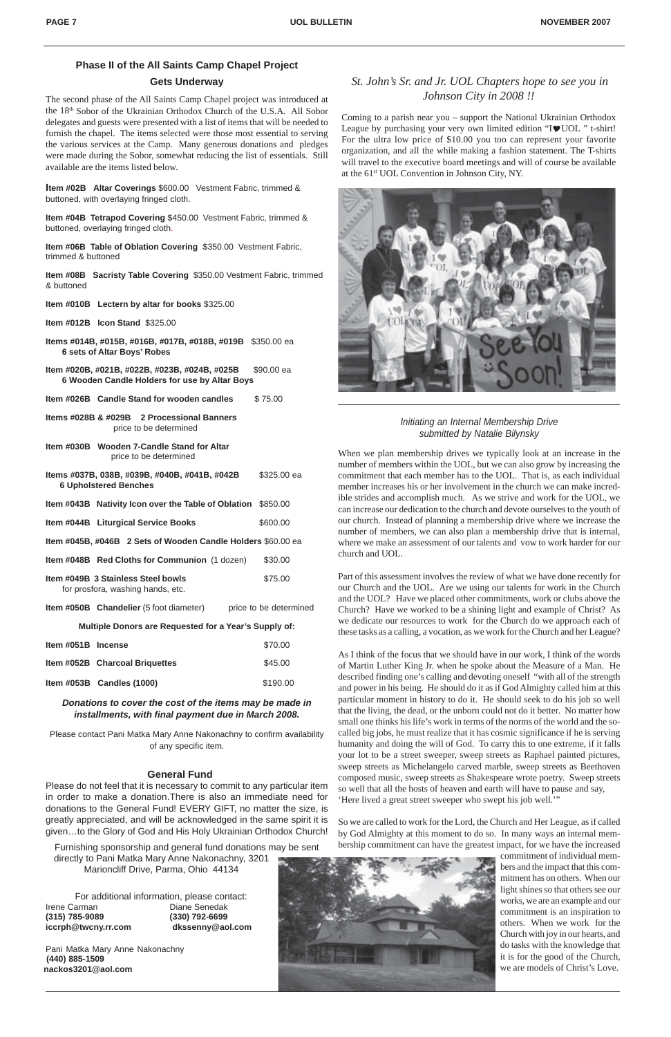## *St. John's Sr. and Jr. UOL Chapters hope to see you in Johnson City in 2008 !!*

Coming to a parish near you – support the National Ukrainian Orthodox League by purchasing your very own limited edition " $I$  $I$ UOL " t-shirt! For the ultra low price of \$10.00 you too can represent your favorite organization, and all the while making a fashion statement. The T-shirts will travel to the executive board meetings and will of course be available at the 61st UOL Convention in Johnson City, NY.



## **Phase II of the All Saints Camp Chapel Project**

## **Gets Underway**

The second phase of the All Saints Camp Chapel project was introduced at the 18th Sobor of the Ukrainian Orthodox Church of the U.S.A. All Sobor delegates and guests were presented with a list of items that will be needed to furnish the chapel. The items selected were those most essential to serving the various services at the Camp. Many generous donations and pledges were made during the Sobor, somewhat reducing the list of essentials. Still available are the items listed below.

**Item #02B Altar Coverings** \$600.00 Vestment Fabric, trimmed & buttoned, with overlaying fringed cloth.

**Item #04B Tetrapod Covering** \$450.00 Vestment Fabric, trimmed & buttoned, overlaying fringed cloth.

**Item #06B Table of Oblation Covering** \$350.00 Vestment Fabric, trimmed & buttoned

**Item #08B Sacristy Table Covering** \$350.00 Vestment Fabric, trimmed & buttoned

- **Item #010B Lectern by altar for books** \$325.00
- **Item #012B Icon Stand** \$325.00
- **Items #014B, #015B, #016B, #017B, #018B, #019B** \$350.00 ea  **6 sets of Altar Boys' Robes**
- **Item #020B, #021B, #022B, #023B, #024B, #025B** \$90.00 ea  **6 Wooden Candle Holders for use by Altar Boys**
- **Item #026B Candle Stand for wooden candles \$75.00**
- **Items #028B & #029B 2 Processional Banners** price to be determined
- **Item #030B Wooden 7-Candle Stand for Altar** price to be determined

| Items #037B, 038B, #039B, #040B, #041B, #042B<br><b>6 Upholstered Benches</b> | \$325,00 ea            |  |  |  |
|-------------------------------------------------------------------------------|------------------------|--|--|--|
| Item #043B Nativity Icon over the Table of Oblation \$850.00                  |                        |  |  |  |
| Item #044B Liturgical Service Books                                           | \$600.00               |  |  |  |
| <b>Item #045B, #046B 2 Sets of Wooden Candle Holders \$60.00 ea</b>           |                        |  |  |  |
| <b>Item #048B</b> Red Cloths for Communion (1 dozen)                          | \$30.00                |  |  |  |
| Item #049B 3 Stainless Steel bowls<br>for prosfora, washing hands, etc.       | \$75.00                |  |  |  |
| <b>Item #050B Chandelier</b> (5 foot diameter)                                | price to be determined |  |  |  |
| Multiple Donors are Requested for a Year's Supply of:                         |                        |  |  |  |

| Item #051B Incense |                                       | \$70.00  |
|--------------------|---------------------------------------|----------|
|                    | <b>Item #052B Charcoal Briquettes</b> | \$45.00  |
|                    | Item $\#053B$ Candles (1000)          | \$190.00 |

## *Donations to cover the cost of the items may be made in installments, with final payment due in March 2008.*

Please contact Pani Matka Mary Anne Nakonachny to confirm availability of any specific item.

## **General Fund**

Please do not feel that it is necessary to commit to any particular item in order to make a donation.There is also an immediate need for donations to the General Fund! EVERY GIFT, no matter the size, is greatly appreciated, and will be acknowledged in the same spirit it is given…to the Glory of God and His Holy Ukrainian Orthodox Church!

Furnishing sponsorship and general fund donations may be sent directly to Pani Matka Mary Anne Nakonachny, 3201 Marioncliff Drive, Parma, Ohio 44134

For additional information, please contact: Irene Carman Diane Senedak **(315) 785-9089 (330) 792-6699 iccrph@twcny.rr.com dkssenny@aol.com** When we plan membership drives we typically look at an increase in the number of members within the UOL, but we can also grow by increasing the commitment that each member has to the UOL. That is, as each individual member increases his or her involvement in the church we can make incredible strides and accomplish much. As we strive and work for the UOL, we can increase our dedication to the church and devote ourselves to the youth of our church. Instead of planning a membership drive where we increase the number of members, we can also plan a membership drive that is internal, where we make an assessment of our talents and vow to work harder for our church and UOL.

Part of this assessment involves the review of what we have done recently for our Church and the UOL. Are we using our talents for work in the Church and the UOL? Have we placed other commitments, work or clubs above the Church? Have we worked to be a shining light and example of Christ? As we dedicate our resources to work for the Church do we approach each of these tasks as a calling, a vocation, as we work for the Church and her League?

Pani Matka Mary Anne Nakonachny **(440) 885-1509 nackos3201@aol.com**

As I think of the focus that we should have in our work, I think of the words of Martin Luther King Jr. when he spoke about the Measure of a Man. He described finding one's calling and devoting oneself "with all of the strength and power in his being. He should do it as if God Almighty called him at this particular moment in history to do it. He should seek to do his job so well that the living, the dead, or the unborn could not do it better. No matter how small one thinks his life's work in terms of the norms of the world and the socalled big jobs, he must realize that it has cosmic significance if he is serving humanity and doing the will of God. To carry this to one extreme, if it falls your lot to be a street sweeper, sweep streets as Raphael painted pictures,

sweep streets as Michelangelo carved marble, sweep streets as Beethoven composed music, sweep streets as Shakespeare wrote poetry. Sweep streets so well that all the hosts of heaven and earth will have to pause and say, 'Here lived a great street sweeper who swept his job well.'"

So we are called to work for the Lord, the Church and Her League, as if called by God Almighty at this moment to do so. In many ways an internal membership commitment can have the greatest impact, for we have the increased



commitment of individual members and the impact that this commitment has on others. When our light shines so that others see our works, we are an example and our commitment is an inspiration to others. When we work for the Church with joy in our hearts, and do tasks with the knowledge that it is for the good of the Church, we are models of Christ's Love.

## *Initiating an Internal Membership Drive submitted by Natalie Bilynsky*